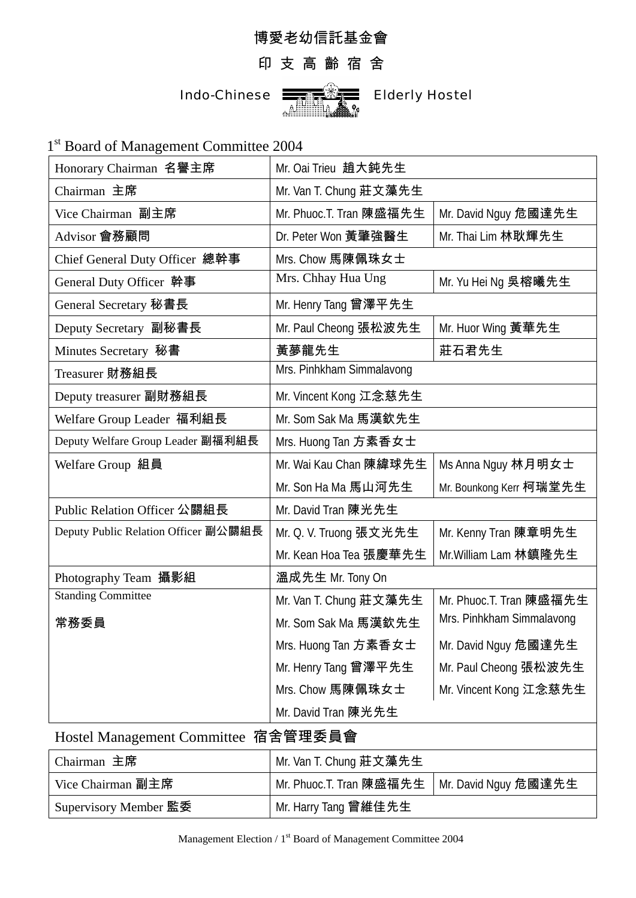## 博愛老幼信託基金會

## 印 支 高 齡 宿 舍



1<sup>st</sup> Board of Management Committee 2004

| Honorary Chairman 名譽主席               | Mr. Oai Trieu 趙大鈍先生       |                           |  |
|--------------------------------------|---------------------------|---------------------------|--|
| Chairman 主席                          | Mr. Van T. Chung 莊文藻先生    |                           |  |
| Vice Chairman 副主席                    | Mr. Phuoc.T. Tran 陳盛福先生   | Mr. David Nguy 危國達先生      |  |
| Advisor 會務顧問                         | Dr. Peter Won 黃肇強醫生       | Mr. Thai Lim 林耿輝先生        |  |
| Chief General Duty Officer 總幹事       | Mrs. Chow 馬陳佩珠女士          |                           |  |
| General Duty Officer 幹事              | Mrs. Chhay Hua Ung        | Mr. Yu Hei Ng 吳榕曦先生       |  |
| General Secretary 秘書長                | Mr. Henry Tang 曾澤平先生      |                           |  |
| Deputy Secretary 副秘書長                | Mr. Paul Cheong 張松波先生     | Mr. Huor Wing 黃華先生        |  |
| Minutes Secretary 秘書                 | 黃夢龍先生                     | 莊石君先生                     |  |
| Treasurer 財務組長                       | Mrs. Pinhkham Simmalavong |                           |  |
| Deputy treasurer 副財務組長               | Mr. Vincent Kong 江念慈先生    |                           |  |
| Welfare Group Leader 福利組長            | Mr. Som Sak Ma 馬漢欽先生      |                           |  |
| Deputy Welfare Group Leader 副福利組長    | Mrs. Huong Tan 方素香女士      |                           |  |
| Welfare Group 組員                     | Mr. Wai Kau Chan 陳緯球先生    | Ms Anna Nguy 林月明女士        |  |
|                                      | Mr. Son Ha Ma 馬山河先生       | Mr. Bounkong Kerr 柯瑞堂先生   |  |
| Public Relation Officer 公關組長         | Mr. David Tran 陳光先生       |                           |  |
| Deputy Public Relation Officer 副公關組長 | Mr. Q. V. Truong 張文光先生    | Mr. Kenny Tran 陳章明先生      |  |
|                                      | Mr. Kean Hoa Tea 張慶華先生    | Mr. William Lam 林鎮隆先生     |  |
| Photography Team 攝影組                 | 溫成先生 Mr. Tony On          |                           |  |
| <b>Standing Committee</b>            | Mr. Van T. Chung 莊文藻先生    | Mr. Phuoc.T. Tran 陳盛福先生   |  |
| 常務委員                                 | Mr. Som Sak Ma 馬漢欽先生      | Mrs. Pinhkham Simmalavong |  |
|                                      | Mrs. Huong Tan 方素香女士      | Mr. David Nguy 危國達先生      |  |
|                                      | Mr. Henry Tang 曾澤平先生      | Mr. Paul Cheong 張松波先生     |  |
|                                      | Mrs. Chow 馬陳佩珠女士          | Mr. Vincent Kong 江念慈先生    |  |
|                                      | Mr. David Tran 陳光先生       |                           |  |
| Hostel Management Committee 宿舍管理委員會  |                           |                           |  |

| Chairman 主席           | Mr. Van T. Chung 莊文藻先生                         |  |
|-----------------------|------------------------------------------------|--|
| Vice Chairman 副主席     | Mr. Phuoc.T. Tran 陳盛福先生   Mr. David Nguy 危國達先生 |  |
| Supervisory Member 監委 | Mr. Harry Tang 曾維佳先生                           |  |

Management Election / 1<sup>st</sup> Board of Management Committee 2004